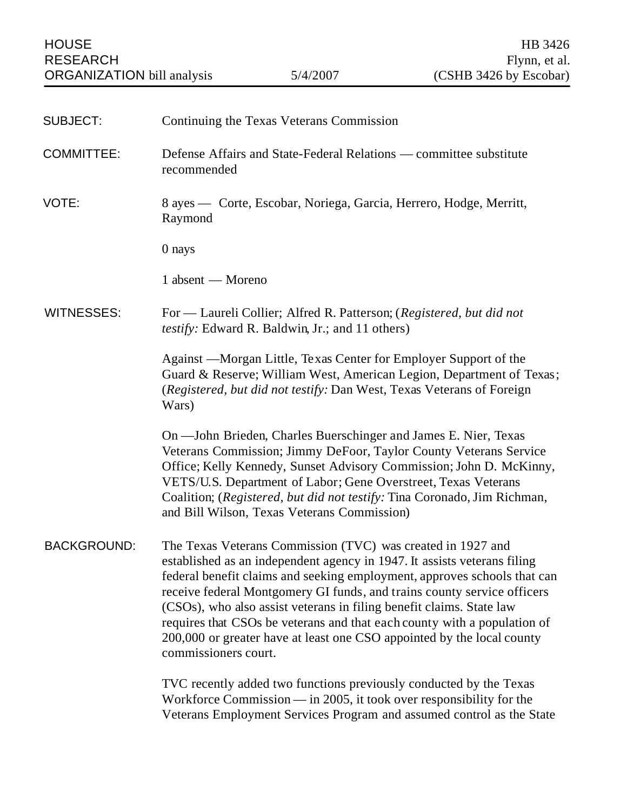| <b>SUBJECT:</b>    | Continuing the Texas Veterans Commission                                                                                                                                                                                                                                                                                                                                                                                                                                                                                                             |
|--------------------|------------------------------------------------------------------------------------------------------------------------------------------------------------------------------------------------------------------------------------------------------------------------------------------------------------------------------------------------------------------------------------------------------------------------------------------------------------------------------------------------------------------------------------------------------|
| <b>COMMITTEE:</b>  | Defense Affairs and State-Federal Relations — committee substitute<br>recommended                                                                                                                                                                                                                                                                                                                                                                                                                                                                    |
| VOTE:              | 8 ayes — Corte, Escobar, Noriega, Garcia, Herrero, Hodge, Merritt,<br>Raymond                                                                                                                                                                                                                                                                                                                                                                                                                                                                        |
|                    | 0 nays                                                                                                                                                                                                                                                                                                                                                                                                                                                                                                                                               |
|                    | 1 absent — Moreno                                                                                                                                                                                                                                                                                                                                                                                                                                                                                                                                    |
| <b>WITNESSES:</b>  | For — Laureli Collier; Alfred R. Patterson; (Registered, but did not<br><i>testify:</i> Edward R. Baldwin, Jr.; and 11 others)                                                                                                                                                                                                                                                                                                                                                                                                                       |
|                    | Against —Morgan Little, Texas Center for Employer Support of the<br>Guard & Reserve; William West, American Legion, Department of Texas;<br>(Registered, but did not testify: Dan West, Texas Veterans of Foreign<br>Wars)                                                                                                                                                                                                                                                                                                                           |
|                    | On — John Brieden, Charles Buerschinger and James E. Nier, Texas<br>Veterans Commission; Jimmy DeFoor, Taylor County Veterans Service<br>Office; Kelly Kennedy, Sunset Advisory Commission; John D. McKinny,<br>VETS/U.S. Department of Labor; Gene Overstreet, Texas Veterans<br>Coalition; (Registered, but did not testify: Tina Coronado, Jim Richman,<br>and Bill Wilson, Texas Veterans Commission)                                                                                                                                            |
| <b>BACKGROUND:</b> | The Texas Veterans Commission (TVC) was created in 1927 and<br>established as an independent agency in 1947. It assists veterans filing<br>federal benefit claims and seeking employment, approves schools that can<br>receive federal Montgomery GI funds, and trains county service officers<br>(CSOs), who also assist veterans in filing benefit claims. State law<br>requires that CSOs be veterans and that each county with a population of<br>200,000 or greater have at least one CSO appointed by the local county<br>commissioners court. |
|                    | TVC recently added two functions previously conducted by the Texas<br>Workforce Commission $-$ in 2005, it took over responsibility for the<br>Veterans Employment Services Program and assumed control as the State                                                                                                                                                                                                                                                                                                                                 |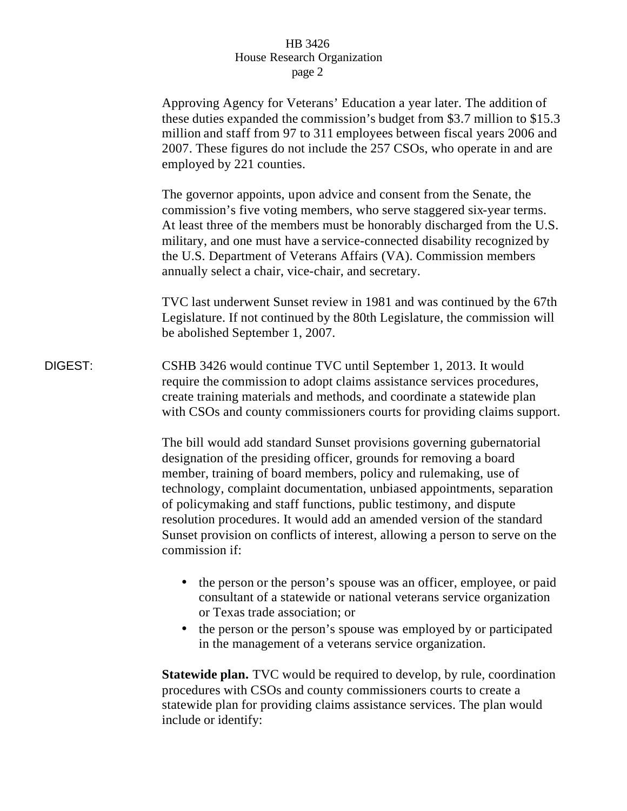|         | Approving Agency for Veterans' Education a year later. The addition of<br>these duties expanded the commission's budget from \$3.7 million to \$15.3<br>million and staff from 97 to 311 employees between fiscal years 2006 and<br>2007. These figures do not include the 257 CSOs, who operate in and are<br>employed by 221 counties.                                                                                                                                                                                                    |
|---------|---------------------------------------------------------------------------------------------------------------------------------------------------------------------------------------------------------------------------------------------------------------------------------------------------------------------------------------------------------------------------------------------------------------------------------------------------------------------------------------------------------------------------------------------|
|         | The governor appoints, upon advice and consent from the Senate, the<br>commission's five voting members, who serve staggered six-year terms.<br>At least three of the members must be honorably discharged from the U.S.<br>military, and one must have a service-connected disability recognized by<br>the U.S. Department of Veterans Affairs (VA). Commission members<br>annually select a chair, vice-chair, and secretary.                                                                                                             |
|         | TVC last underwent Sunset review in 1981 and was continued by the 67th<br>Legislature. If not continued by the 80th Legislature, the commission will<br>be abolished September 1, 2007.                                                                                                                                                                                                                                                                                                                                                     |
| DIGEST: | CSHB 3426 would continue TVC until September 1, 2013. It would<br>require the commission to adopt claims assistance services procedures,<br>create training materials and methods, and coordinate a statewide plan<br>with CSOs and county commissioners courts for providing claims support.                                                                                                                                                                                                                                               |
|         | The bill would add standard Sunset provisions governing gubernatorial<br>designation of the presiding officer, grounds for removing a board<br>member, training of board members, policy and rulemaking, use of<br>technology, complaint documentation, unbiased appointments, separation<br>of policymaking and staff functions, public testimony, and dispute<br>resolution procedures. It would add an amended version of the standard<br>Sunset provision on conflicts of interest, allowing a person to serve on the<br>commission if: |
|         | the person or the person's spouse was an officer, employee, or paid<br>consultant of a statewide or national veterans service organization<br>or Texas trade association; or                                                                                                                                                                                                                                                                                                                                                                |
|         | the person or the person's spouse was employed by or participated<br>in the management of a veterans service organization.                                                                                                                                                                                                                                                                                                                                                                                                                  |
|         | <b>Statewide plan.</b> TVC would be required to develop, by rule, coordination<br>procedures with CSOs and county commissioners courts to create a<br>statewide plan for providing claims assistance services. The plan would<br>include or identify:                                                                                                                                                                                                                                                                                       |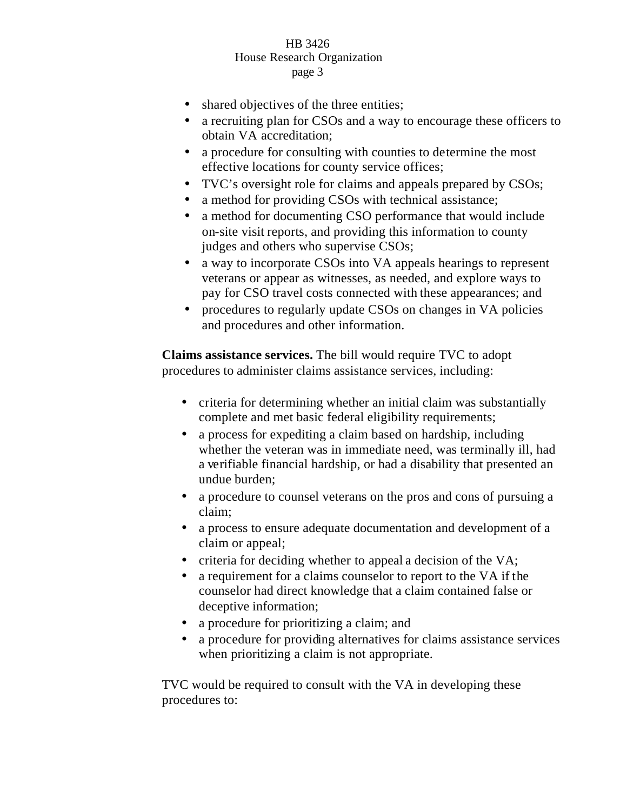- shared objectives of the three entities;
- a recruiting plan for CSOs and a way to encourage these officers to obtain VA accreditation;
- a procedure for consulting with counties to determine the most effective locations for county service offices;
- TVC's oversight role for claims and appeals prepared by CSOs;
- a method for providing CSOs with technical assistance;
- a method for documenting CSO performance that would include on-site visit reports, and providing this information to county judges and others who supervise CSOs;
- a way to incorporate CSOs into VA appeals hearings to represent veterans or appear as witnesses, as needed, and explore ways to pay for CSO travel costs connected with these appearances; and
- procedures to regularly update CSOs on changes in VA policies and procedures and other information.

**Claims assistance services.** The bill would require TVC to adopt procedures to administer claims assistance services, including:

- criteria for determining whether an initial claim was substantially complete and met basic federal eligibility requirements;
- a process for expediting a claim based on hardship, including whether the veteran was in immediate need, was terminally ill, had a verifiable financial hardship, or had a disability that presented an undue burden;
- a procedure to counsel veterans on the pros and cons of pursuing a claim;
- a process to ensure adequate documentation and development of a claim or appeal;
- criteria for deciding whether to appeal a decision of the VA;
- a requirement for a claims counselor to report to the VA if the counselor had direct knowledge that a claim contained false or deceptive information;
- a procedure for prioritizing a claim; and
- a procedure for providing alternatives for claims assistance services when prioritizing a claim is not appropriate.

TVC would be required to consult with the VA in developing these procedures to: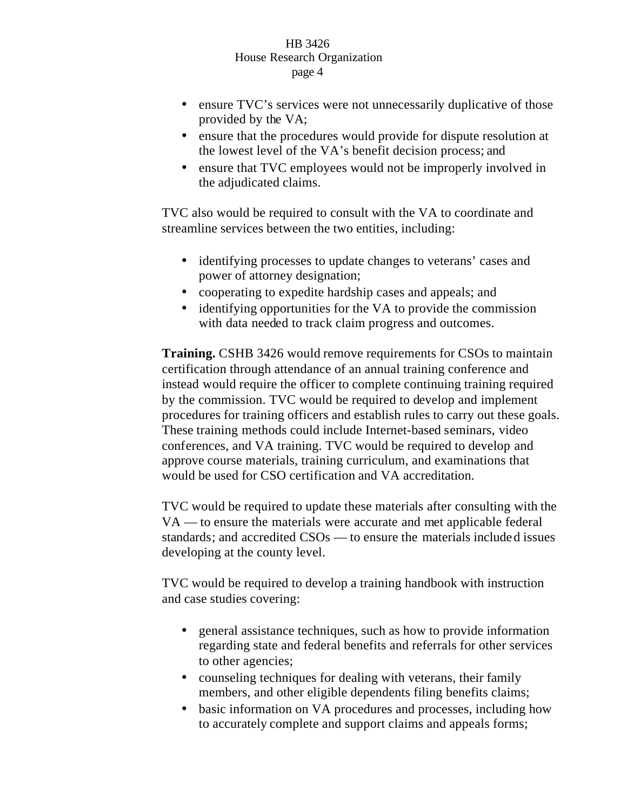- ensure TVC's services were not unnecessarily duplicative of those provided by the VA;
- ensure that the procedures would provide for dispute resolution at the lowest level of the VA's benefit decision process; and
- ensure that TVC employees would not be improperly involved in the adjudicated claims.

TVC also would be required to consult with the VA to coordinate and streamline services between the two entities, including:

- identifying processes to update changes to veterans' cases and power of attorney designation;
- cooperating to expedite hardship cases and appeals; and
- identifying opportunities for the VA to provide the commission with data needed to track claim progress and outcomes.

**Training.** CSHB 3426 would remove requirements for CSOs to maintain certification through attendance of an annual training conference and instead would require the officer to complete continuing training required by the commission. TVC would be required to develop and implement procedures for training officers and establish rules to carry out these goals. These training methods could include Internet-based seminars, video conferences, and VA training. TVC would be required to develop and approve course materials, training curriculum, and examinations that would be used for CSO certification and VA accreditation.

TVC would be required to update these materials after consulting with the VA — to ensure the materials were accurate and met applicable federal standards; and accredited CSOs — to ensure the materials included issues developing at the county level.

TVC would be required to develop a training handbook with instruction and case studies covering:

- general assistance techniques, such as how to provide information regarding state and federal benefits and referrals for other services to other agencies;
- counseling techniques for dealing with veterans, their family members, and other eligible dependents filing benefits claims;
- basic information on VA procedures and processes, including how to accurately complete and support claims and appeals forms;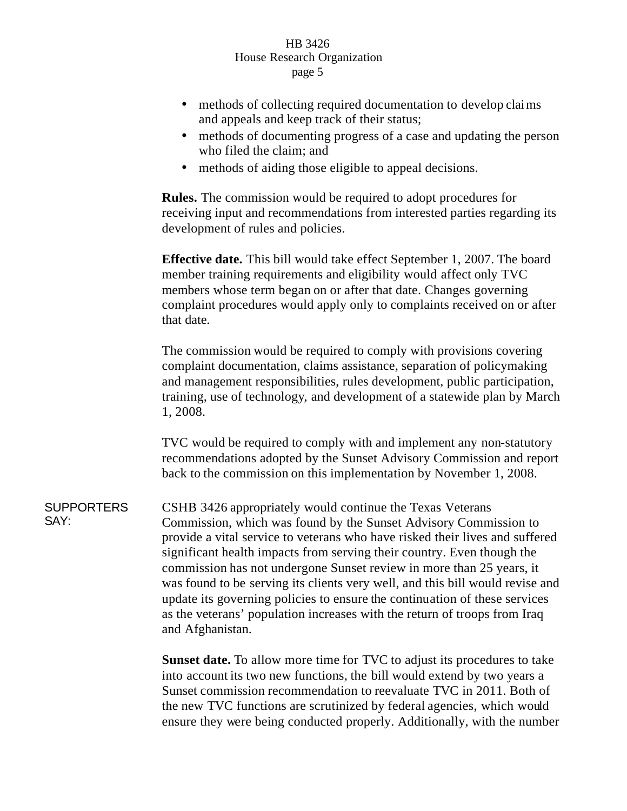- methods of collecting required documentation to develop claims and appeals and keep track of their status;
- methods of documenting progress of a case and updating the person who filed the claim; and
- methods of aiding those eligible to appeal decisions.

**Rules.** The commission would be required to adopt procedures for receiving input and recommendations from interested parties regarding its development of rules and policies.

**Effective date.** This bill would take effect September 1, 2007. The board member training requirements and eligibility would affect only TVC members whose term began on or after that date. Changes governing complaint procedures would apply only to complaints received on or after that date.

The commission would be required to comply with provisions covering complaint documentation, claims assistance, separation of policymaking and management responsibilities, rules development, public participation, training, use of technology, and development of a statewide plan by March 1, 2008.

TVC would be required to comply with and implement any non-statutory recommendations adopted by the Sunset Advisory Commission and report back to the commission on this implementation by November 1, 2008.

**SUPPORTERS** SAY: CSHB 3426 appropriately would continue the Texas Veterans Commission, which was found by the Sunset Advisory Commission to provide a vital service to veterans who have risked their lives and suffered significant health impacts from serving their country. Even though the commission has not undergone Sunset review in more than 25 years, it was found to be serving its clients very well, and this bill would revise and update its governing policies to ensure the continuation of these services as the veterans' population increases with the return of troops from Iraq and Afghanistan.

> **Sunset date.** To allow more time for TVC to adjust its procedures to take into account its two new functions, the bill would extend by two years a Sunset commission recommendation to reevaluate TVC in 2011. Both of the new TVC functions are scrutinized by federal agencies, which would ensure they were being conducted properly. Additionally, with the number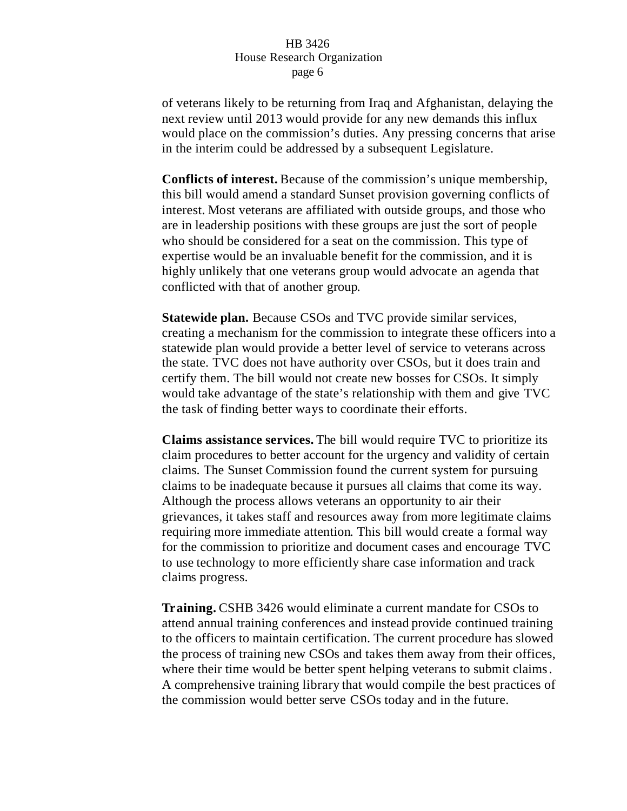of veterans likely to be returning from Iraq and Afghanistan, delaying the next review until 2013 would provide for any new demands this influx would place on the commission's duties. Any pressing concerns that arise in the interim could be addressed by a subsequent Legislature.

**Conflicts of interest.** Because of the commission's unique membership, this bill would amend a standard Sunset provision governing conflicts of interest. Most veterans are affiliated with outside groups, and those who are in leadership positions with these groups are just the sort of people who should be considered for a seat on the commission. This type of expertise would be an invaluable benefit for the commission, and it is highly unlikely that one veterans group would advocate an agenda that conflicted with that of another group.

**Statewide plan.** Because CSOs and TVC provide similar services, creating a mechanism for the commission to integrate these officers into a statewide plan would provide a better level of service to veterans across the state. TVC does not have authority over CSOs, but it does train and certify them. The bill would not create new bosses for CSOs. It simply would take advantage of the state's relationship with them and give TVC the task of finding better ways to coordinate their efforts.

**Claims assistance services.** The bill would require TVC to prioritize its claim procedures to better account for the urgency and validity of certain claims. The Sunset Commission found the current system for pursuing claims to be inadequate because it pursues all claims that come its way. Although the process allows veterans an opportunity to air their grievances, it takes staff and resources away from more legitimate claims requiring more immediate attention. This bill would create a formal way for the commission to prioritize and document cases and encourage TVC to use technology to more efficiently share case information and track claims progress.

**Training.** CSHB 3426 would eliminate a current mandate for CSOs to attend annual training conferences and instead provide continued training to the officers to maintain certification. The current procedure has slowed the process of training new CSOs and takes them away from their offices, where their time would be better spent helping veterans to submit claims. A comprehensive training library that would compile the best practices of the commission would better serve CSOs today and in the future.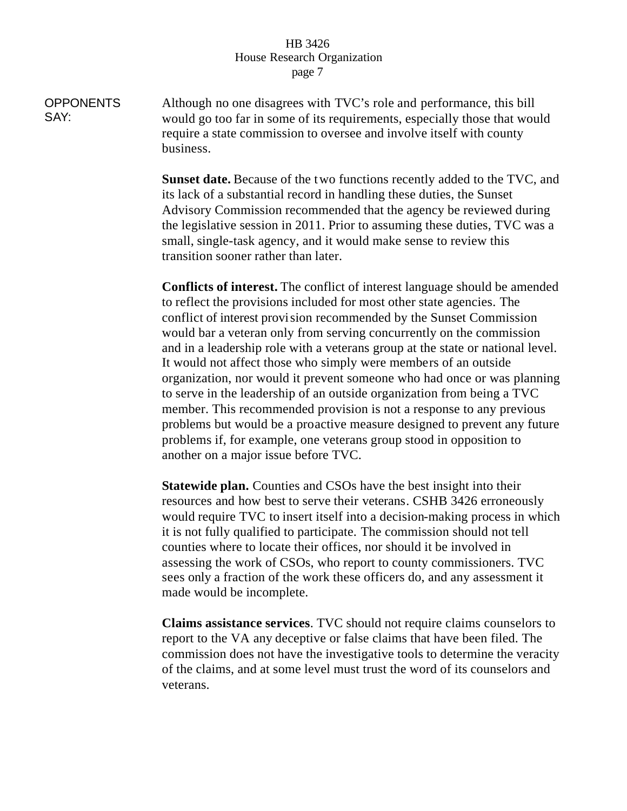**OPPONENTS** SAY: Although no one disagrees with TVC's role and performance, this bill would go too far in some of its requirements, especially those that would require a state commission to oversee and involve itself with county business.

> **Sunset date.** Because of the two functions recently added to the TVC, and its lack of a substantial record in handling these duties, the Sunset Advisory Commission recommended that the agency be reviewed during the legislative session in 2011. Prior to assuming these duties, TVC was a small, single-task agency, and it would make sense to review this transition sooner rather than later.

> **Conflicts of interest.** The conflict of interest language should be amended to reflect the provisions included for most other state agencies. The conflict of interest provision recommended by the Sunset Commission would bar a veteran only from serving concurrently on the commission and in a leadership role with a veterans group at the state or national level. It would not affect those who simply were members of an outside organization, nor would it prevent someone who had once or was planning to serve in the leadership of an outside organization from being a TVC member. This recommended provision is not a response to any previous problems but would be a proactive measure designed to prevent any future problems if, for example, one veterans group stood in opposition to another on a major issue before TVC.

> **Statewide plan.** Counties and CSOs have the best insight into their resources and how best to serve their veterans. CSHB 3426 erroneously would require TVC to insert itself into a decision-making process in which it is not fully qualified to participate. The commission should not tell counties where to locate their offices, nor should it be involved in assessing the work of CSOs, who report to county commissioners. TVC sees only a fraction of the work these officers do, and any assessment it made would be incomplete.

> **Claims assistance services**. TVC should not require claims counselors to report to the VA any deceptive or false claims that have been filed. The commission does not have the investigative tools to determine the veracity of the claims, and at some level must trust the word of its counselors and veterans.